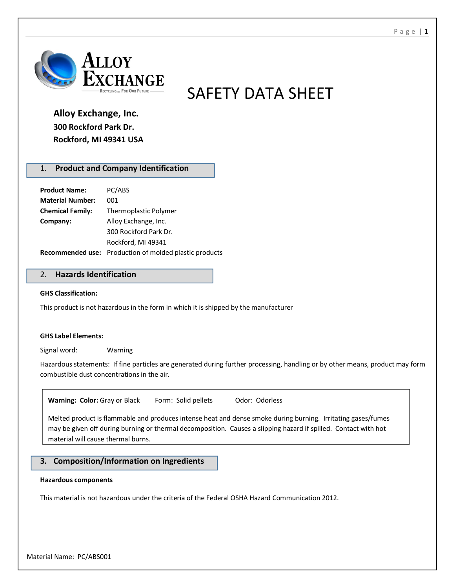

SAFETY DATA SHEET

# **Alloy Exchange, Inc. 300 Rockford Park Dr. Rockford, MI 49341 USA**

# 1. **Product and Company Identification**

| <b>Product Name:</b>    | PC/ABS                                                        |
|-------------------------|---------------------------------------------------------------|
| <b>Material Number:</b> | 001                                                           |
| <b>Chemical Family:</b> | <b>Thermoplastic Polymer</b>                                  |
| Company:                | Alloy Exchange, Inc.                                          |
|                         | 300 Rockford Park Dr.                                         |
|                         | Rockford, MI 49341                                            |
|                         | <b>Recommended use:</b> Production of molded plastic products |

## 2. **Hazards Identification**

#### **GHS Classification:**

This product is not hazardous in the form in which it is shipped by the manufacturer

#### **GHS Label Elements:**

Signal word: Warning

Hazardous statements: If fine particles are generated during further processing, handling or by other means, product may form combustible dust concentrations in the air.

Warning: Color: Gray or Black Form: Solid pellets Odor: Odorless

Melted product is flammable and produces intense heat and dense smoke during burning. Irritating gases/fumes may be given off during burning or thermal decomposition. Causes a slipping hazard if spilled. Contact with hot material will cause thermal burns.

## **3. Composition/Information on Ingredients**

#### **Hazardous components**

This material is not hazardous under the criteria of the Federal OSHA Hazard Communication 2012.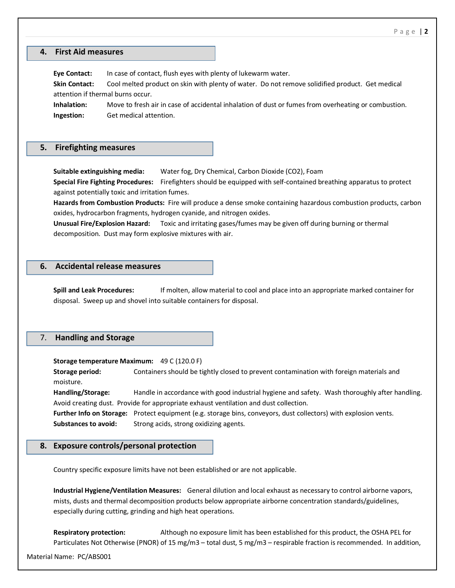## **4. First Aid measures**

**Eye Contact:** In case of contact, flush eyes with plenty of lukewarm water. **Skin Contact:** Cool melted product on skin with plenty of water. Do not remove solidified product. Get medical attention if thermal burns occur. **Inhalation:** Move to fresh air in case of accidental inhalation of dust or fumes from overheating or combustion. **Ingestion:** Get medical attention.

## **5. Firefighting measures**

**Suitable extinguishing media:** Water fog, Dry Chemical, Carbon Dioxide (CO2), Foam

**Special Fire Fighting Procedures:** Firefighters should be equipped with self-contained breathing apparatus to protect against potentially toxic and irritation fumes.

**Hazards from Combustion Products:** Fire will produce a dense smoke containing hazardous combustion products, carbon oxides, hydrocarbon fragments, hydrogen cyanide, and nitrogen oxides.

**Unusual Fire/Explosion Hazard:** Toxic and irritating gases/fumes may be given off during burning or thermal decomposition. Dust may form explosive mixtures with air.

#### **6. Accidental release measures**

**Spill and Leak Procedures:** If molten, allow material to cool and place into an appropriate marked container for disposal. Sweep up and shovel into suitable containers for disposal.

## 7. **Handling and Storage**

**Storage temperature Maximum:** 49 C (120.0 F)

**Storage period:** Containers should be tightly closed to prevent contamination with foreign materials and moisture.

**Handling/Storage:** Handle in accordance with good industrial hygiene and safety. Wash thoroughly after handling. Avoid creating dust. Provide for appropriate exhaust ventilation and dust collection.

**Further Info on Storage:** Protect equipment (e.g. storage bins, conveyors, dust collectors) with explosion vents. **Substances to avoid:** Strong acids, strong oxidizing agents.

#### **8. Exposure controls/personal protection**

Country specific exposure limits have not been established or are not applicable.

**Industrial Hygiene/Ventilation Measures:** General dilution and local exhaust as necessary to control airborne vapors, mists, dusts and thermal decomposition products below appropriate airborne concentration standards/guidelines, especially during cutting, grinding and high heat operations.

**Respiratory protection:** Although no exposure limit has been established for this product, the OSHA PEL for Particulates Not Otherwise (PNOR) of 15 mg/m3 – total dust, 5 mg/m3 – respirable fraction is recommended. In addition,

Material Name: PC/ABS001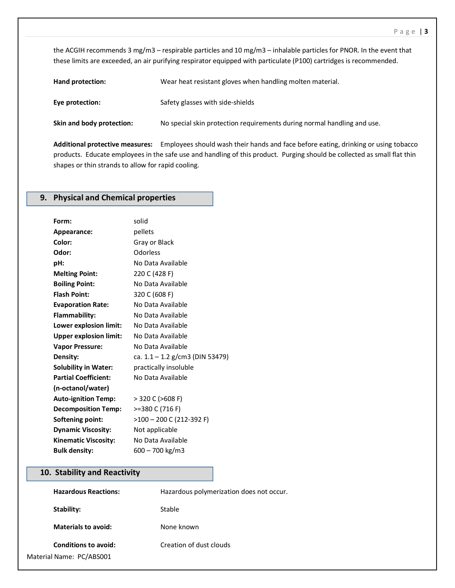the ACGIH recommends 3 mg/m3 – respirable particles and 10 mg/m3 – inhalable particles for PNOR. In the event that these limits are exceeded, an air purifying respirator equipped with particulate (P100) cartridges is recommended.

**Hand protection:** Wear heat resistant gloves when handling molten material. **Eye protection:** Safety glasses with side-shields **Skin and body protection:** No special skin protection requirements during normal handling and use.

**Additional protective measures:** Employees should wash their hands and face before eating, drinking or using tobacco products. Educate employees in the safe use and handling of this product. Purging should be collected as small flat thin shapes or thin strands to allow for rapid cooling.

# **9. Physical and Chemical properties**

| Form:                         | solid                           |
|-------------------------------|---------------------------------|
| Appearance:                   | pellets                         |
| Color:                        | Gray or Black                   |
| Odor:                         | Odorless                        |
| pH:                           | No Data Available               |
| <b>Melting Point:</b>         | 220 C (428 F)                   |
| <b>Boiling Point:</b>         | No Data Available               |
| <b>Flash Point:</b>           | 320 C (608 F)                   |
| <b>Evaporation Rate:</b>      | No Data Available               |
| Flammability:                 | No Data Available               |
| Lower explosion limit:        | No Data Available               |
| <b>Upper explosion limit:</b> | No Data Available               |
| <b>Vapor Pressure:</b>        | No Data Available               |
| Density:                      | ca. 1.1 – 1.2 g/cm3 (DIN 53479) |
| <b>Solubility in Water:</b>   | practically insoluble           |
| <b>Partial Coefficient:</b>   | No Data Available               |
| (n-octanol/water)             |                                 |
| <b>Auto-ignition Temp:</b>    | > 320 C (>608 F)                |
| <b>Decomposition Temp:</b>    | >=380 C (716 F)                 |
| <b>Softening point:</b>       | >100 - 200 C (212-392 F)        |
| <b>Dynamic Viscosity:</b>     | Not applicable                  |
| <b>Kinematic Viscosity:</b>   | No Data Available               |
| <b>Bulk density:</b>          | 600 – 700 kg/m3                 |

## **10. Stability and Reactivity**

| <b>Hazardous Reactions:</b> | Hazardous polymerization does not occur. |
|-----------------------------|------------------------------------------|
| Stability:                  | Stable                                   |
| <b>Materials to avoid:</b>  | None known                               |
| <b>Conditions to avoid:</b> | Creation of dust clouds                  |
| Material Name: PC/ABS001    |                                          |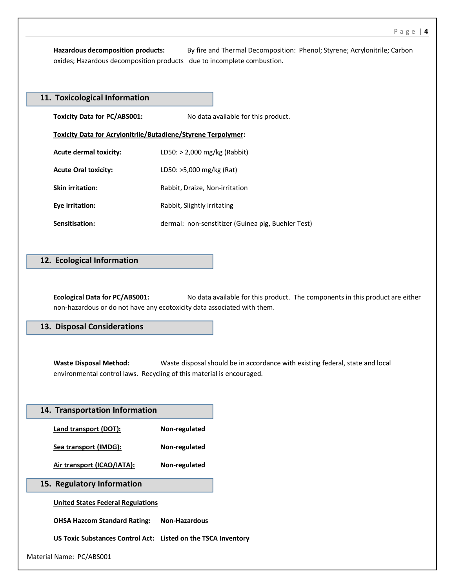**Hazardous decomposition products:** By fire and Thermal Decomposition: Phenol; Styrene; Acrylonitrile; Carbon oxides; Hazardous decomposition products due to incomplete combustion.

| 11. Toxicological Information                                 |                                                    |  |
|---------------------------------------------------------------|----------------------------------------------------|--|
| <b>Toxicity Data for PC/ABS001:</b>                           | No data available for this product.                |  |
| Toxicity Data for Acrylonitrile/Butadiene/Styrene Terpolymer: |                                                    |  |
| <b>Acute dermal toxicity:</b>                                 | LD50: > 2,000 mg/kg (Rabbit)                       |  |
| <b>Acute Oral toxicity:</b>                                   | LD50: >5,000 mg/kg (Rat)                           |  |
| <b>Skin irritation:</b>                                       | Rabbit, Draize, Non-irritation                     |  |
| Eye irritation:                                               | Rabbit, Slightly irritating                        |  |
| Sensitisation:                                                | dermal: non-senstitizer (Guinea pig, Buehler Test) |  |

## **12. Ecological Information**

**Ecological Data for PC/ABS001:** No data available for this product. The components in this product are either non-hazardous or do not have any ecotoxicity data associated with them.

## **13. Disposal Considerations**

**Waste Disposal Method:** Waste disposal should be in accordance with existing federal, state and local environmental control laws. Recycling of this material is encouraged.

| 14. Transportation Information                                |                      |
|---------------------------------------------------------------|----------------------|
| Land transport (DOT):                                         | Non-regulated        |
| Sea transport (IMDG):                                         | Non-regulated        |
| Air transport (ICAO/IATA):                                    | Non-regulated        |
| 15. Regulatory Information                                    |                      |
| <b>United States Federal Regulations</b>                      |                      |
| <b>OHSA Hazcom Standard Rating:</b>                           | <b>Non-Hazardous</b> |
| US Toxic Substances Control Act: Listed on the TSCA Inventory |                      |
| Material Name: PC/ABS001                                      |                      |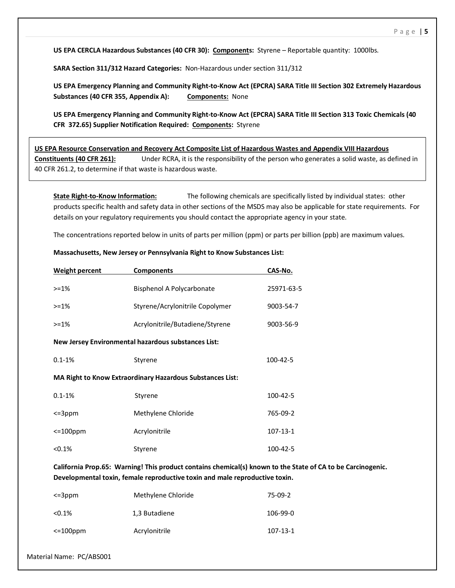**US EPA CERCLA Hazardous Substances (40 CFR 30): Components:** Styrene – Reportable quantity: 1000lbs.

**SARA Section 311/312 Hazard Categories:** Non-Hazardous under section 311/312

**US EPA Emergency Planning and Community Right-to-Know Act (EPCRA) SARA Title III Section 302 Extremely Hazardous Substances (40 CFR 355, Appendix A): Components:** None

**US EPA Emergency Planning and Community Right-to-Know Act (EPCRA) SARA Title III Section 313 Toxic Chemicals (40 CFR 372.65) Supplier Notification Required: Components:** Styrene

**US EPA Resource Conservation and Recovery Act Composite List of Hazardous Wastes and Appendix VIII Hazardous Constituents (40 CFR 261):** Under RCRA, it is the responsibility of the person who generates a solid waste, as defined in 40 CFR 261.2, to determine if that waste is hazardous waste.

**State Right-to-Know Information:** The following chemicals are specifically listed by individual states: other products specific health and safety data in other sections of the MSDS may also be applicable for state requirements. For details on your regulatory requirements you should contact the appropriate agency in your state.

The concentrations reported below in units of parts per million (ppm) or parts per billion (ppb) are maximum values.

| Weight percent                                                   | <b>Components</b>               | CAS-No.        |
|------------------------------------------------------------------|---------------------------------|----------------|
| $> = 1\%$                                                        | Bisphenol A Polycarbonate       | 25971-63-5     |
| $> = 1\%$                                                        | Styrene/Acrylonitrile Copolymer | 9003-54-7      |
| $> = 1\%$                                                        | Acrylonitrile/Butadiene/Styrene | 9003-56-9      |
| New Jersey Environmental hazardous substances List:              |                                 |                |
| $0.1 - 1%$                                                       | Styrene                         | 100-42-5       |
| <b>MA Right to Know Extraordinary Hazardous Substances List:</b> |                                 |                |
| $0.1 - 1%$                                                       | Styrene                         | 100-42-5       |
| $\leq$ =3ppm                                                     | Methylene Chloride              | 765-09-2       |
| $\leq$ 100ppm                                                    | Acrylonitrile                   | $107 - 13 - 1$ |
| < 0.1%                                                           | Styrene                         | 100-42-5       |
|                                                                  |                                 |                |

#### **Massachusetts, New Jersey or Pennsylvania Right to Know Substances List:**

**California Prop.65: Warning! This product contains chemical(s) known to the State of CA to be Carcinogenic. Developmental toxin, female reproductive toxin and male reproductive toxin.**

| $\leq$ =3ppm  | Methylene Chloride | $75-09-2$ |
|---------------|--------------------|-----------|
| < 0.1%        | 1,3 Butadiene      | 106-99-0  |
| $\leq$ 100ppm | Acrylonitrile      | 107-13-1  |

Material Name: PC/ABS001